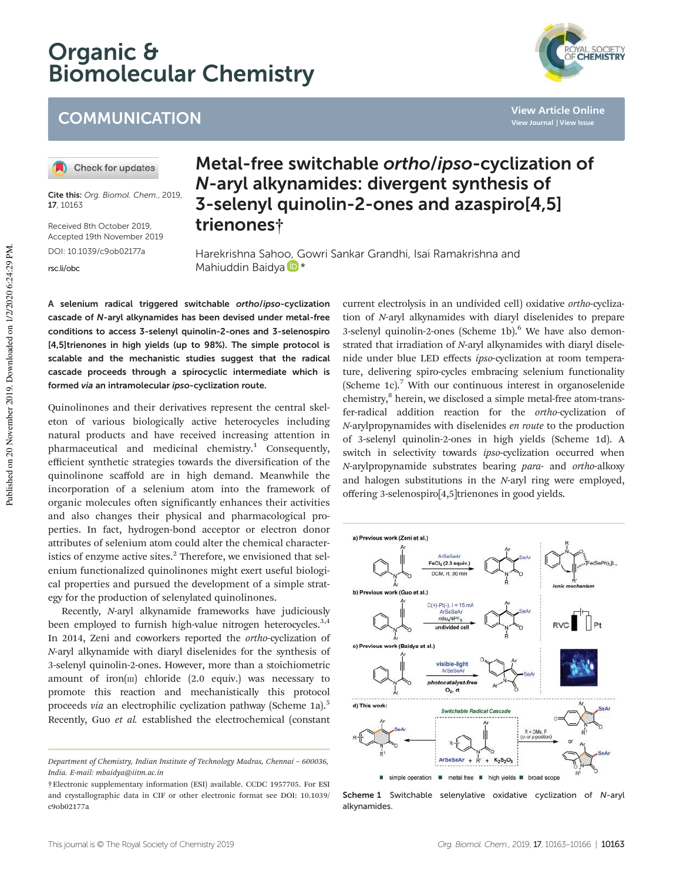# Organic & Biomolecular Chemistry





**View Article Online View Journal | View Issue**

Check for updates

Cite this: Org. Biomol. Chem., 2019, 17, 10163

Received 8th October 2019, Accepted 19th November 2019

DOI: 10.1039/c9ob02177a

rsc.li/obc

# Metal-free switchable ortho/ipso-cyclization of N-aryl alkynamides: divergent synthesis of 3-selenyl quinolin-2-ones and azaspiro[4,5] trienones†

Harekrishna Sahoo, Gowri Sankar Grandhi, Isai Ramakrishna and Mahiuddin Baidya<sup>D\*</sup>

A selenium radical triggered switchable ortho/ipso-cyclization cascade of N-aryl alkynamides has been devised under metal-free conditions to access 3-selenyl quinolin-2-ones and 3-selenospiro [4,5]trienones in high yields (up to 98%). The simple protocol is scalable and the mechanistic studies suggest that the radical cascade proceeds through a spirocyclic intermediate which is formed via an intramolecular ipso-cyclization route.

Quinolinones and their derivatives represent the central skeleton of various biologically active heterocycles including natural products and have received increasing attention in pharmaceutical and medicinal chemistry.<sup>1</sup> Consequently, efficient synthetic strategies towards the diversification of the quinolinone scaffold are in high demand. Meanwhile the incorporation of a selenium atom into the framework of organic molecules often significantly enhances their activities and also changes their physical and pharmacological properties. In fact, hydrogen-bond acceptor or electron donor attributes of selenium atom could alter the chemical characteristics of enzyme active sites. $^2$  Therefore, we envisioned that selenium functionalized quinolinones might exert useful biological properties and pursued the development of a simple strategy for the production of selenylated quinolinones.

Recently, *N*-aryl alkynamide frameworks have judiciously been employed to furnish high-value nitrogen heterocycles.<sup>3,4</sup> In 2014, Zeni and coworkers reported the *ortho*-cyclization of *N*-aryl alkynamide with diaryl diselenides for the synthesis of 3-selenyl quinolin-2-ones. However, more than a stoichiometric amount of iron( $\text{III}$ ) chloride (2.0 equiv.) was necessary to promote this reaction and mechanistically this protocol proceeds *via* an electrophilic cyclization pathway (Scheme 1a).<sup>5</sup> Recently, Guo *et al.* established the electrochemical (constant current electrolysis in an undivided cell) oxidative *ortho*-cyclization of *N*-aryl alkynamides with diaryl diselenides to prepare 3-selenyl quinolin-2-ones (Scheme 1b).<sup>6</sup> We have also demonstrated that irradiation of *N*-aryl alkynamides with diaryl diselenide under blue LED effects *ipso*-cyclization at room temperature, delivering spiro-cycles embracing selenium functionality (Scheme 1c).<sup>7</sup> With our continuous interest in organoselenide chemistry,<sup>8</sup> herein, we disclosed a simple metal-free atom-transfer-radical addition reaction for the *ortho*-cyclization of *N*-arylpropynamides with diselenides *en route* to the production of 3-selenyl quinolin-2-ones in high yields (Scheme 1d). A switch in selectivity towards *ipso*-cyclization occurred when *N*-arylpropynamide substrates bearing *para*- and *ortho*-alkoxy and halogen substitutions in the *N*-aryl ring were employed, offering 3-selenospiro[4,5]trienones in good yields.



Scheme 1 Switchable selenylative oxidative cyclization of N-aryl alkynamides.

*Department of Chemistry, Indian Institute of Technology Madras, Chennai* – *600036, India. E-mail: mbaidya@iitm.ac.in*

<sup>†</sup>Electronic supplementary information (ESI) available. CCDC 1957705. For ESI and crystallographic data in CIF or other electronic format see DOI: 10.1039/ c9ob02177a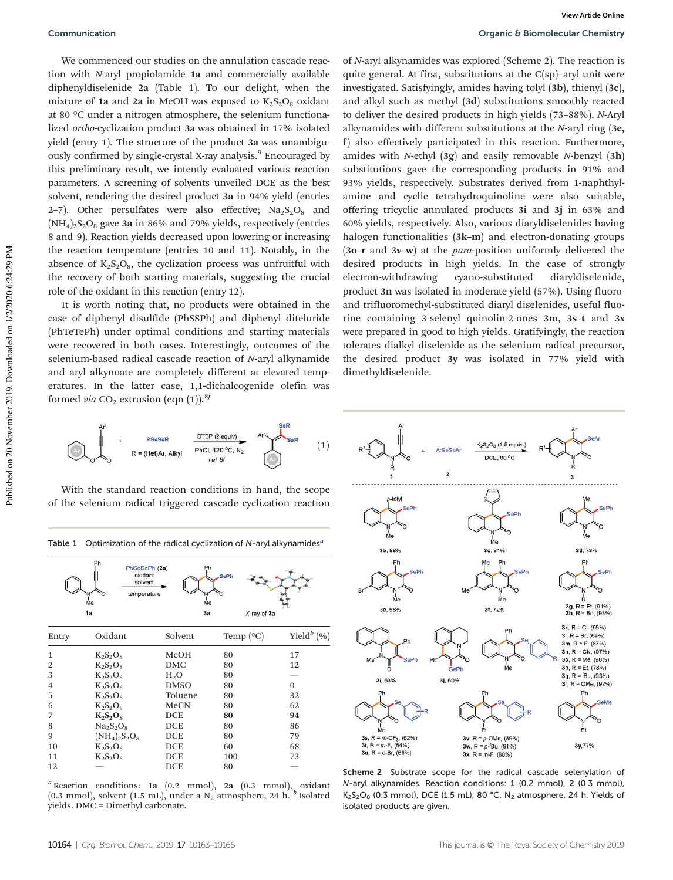We commenced our studies on the annulation cascade reaction with *N*-aryl propiolamide 1a and commercially available diphenyldiselenide 2a (Table 1). To our delight, when the mixture of 1a and 2a in MeOH was exposed to  $K_2S_2O_8$  oxidant at 80 °C under a nitrogen atmosphere, the selenium functionalized *ortho*-cyclization product 3a was obtained in 17% isolated yield (entry 1). The structure of the product 3a was unambiguously confirmed by single-crystal X-ray analysis.<sup>9</sup> Encouraged by this preliminary result, we intently evaluated various reaction parameters. A screening of solvents unveiled DCE as the best solvent, rendering the desired product 3a in 94% yield (entries 2–7). Other persulfates were also effective;  $\text{Na}_2\text{S}_2\text{O}_8$  and  $(NH_4)_2S_2O_8$  gave 3a in 86% and 79% yields, respectively (entries 8 and 9). Reaction yields decreased upon lowering or increasing the reaction temperature (entries 10 and 11). Notably, in the absence of  $K_2S_2O_8$ , the cyclization process was unfruitful with the recovery of both starting materials, suggesting the crucial role of the oxidant in this reaction (entry 12).

It is worth noting that, no products were obtained in the case of diphenyl disulfide (PhSSPh) and diphenyl diteluride (PhTeTePh) under optimal conditions and starting materials were recovered in both cases. Interestingly, outcomes of the selenium-based radical cascade reaction of *N*-aryl alkynamide and aryl alkynoate are completely different at elevated temperatures. In the latter case, 1,1-dichalcogenide olefin was formed *via*  $CO_2$  extrusion (eqn (1)).<sup>8*f*</sup>

of *N*-aryl alkynamides was explored (Scheme 2). The reaction is quite general. At first, substitutions at the C(sp)–aryl unit were investigated. Satisfyingly, amides having tolyl (3b), thienyl (3c), and alkyl such as methyl (3d) substitutions smoothly reacted to deliver the desired products in high yields (73–88%). *N*-Aryl alkynamides with different substitutions at the *N*-aryl ring (3e, f) also effectively participated in this reaction. Furthermore, amides with *N*-ethyl (3g) and easily removable *N*-benzyl (3h) substitutions gave the corresponding products in 91% and 93% yields, respectively. Substrates derived from 1-naphthylamine and cyclic tetrahydroquinoline were also suitable, offering tricyclic annulated products 3i and 3j in 63% and 60% yields, respectively. Also, various diaryldiselenides having halogen functionalities (3k–m) and electron-donating groups (3o–r and 3v–w) at the *para*-position uniformly delivered the desired products in high yields. In the case of strongly electron-withdrawing cyano-substituted diaryldiselenide, product 3n was isolated in moderate yield (57%). Using fluoroand trifluoromethyl-substituted diaryl diselenides, useful fluorine containing 3-selenyl quinolin-2-ones 3m, 3s–t and 3x were prepared in good to high yields. Gratifyingly, the reaction tolerates dialkyl diselenide as the selenium radical precursor, the desired product 3y was isolated in 77% yield with dimethyldiselenide.



With the standard reaction conditions in hand, the scope of the selenium radical triggered cascade cyclization reaction

Table 1 Optimization of the radical cyclization of  $N$ -aryl alkynamides<sup>a</sup>

| PhSeSePh (2a)<br>Ph<br>oxidant<br><b>SePh</b><br>solvent<br>temperature<br>Me<br>X-ray of 3a<br>1a<br>3a |                  |             |                      |                  |
|----------------------------------------------------------------------------------------------------------|------------------|-------------|----------------------|------------------|
| Entry                                                                                                    | Oxidant          | Solvent     | Temp $({}^{\circ}C)$ | Yield $^{b}$ (%) |
| $\mathbf{1}$                                                                                             | $K_2S_2O_8$      | MeOH        | 80                   | 17               |
| $\overline{2}$                                                                                           | $K_2S_2O_8$      | DMC         | 80                   | 12               |
| 3                                                                                                        | $K_2S_2O_8$      | $H_2O$      | 80                   |                  |
| $\overline{4}$                                                                                           | $K_2S_2O_8$      | <b>DMSO</b> | 80                   | $\Omega$         |
| 5                                                                                                        | $K_2S_2O_8$      | Toluene     | 80                   | 32               |
| 6                                                                                                        | $K_2S_2O_8$      | MeCN        | 80                   | 62               |
| 7                                                                                                        | $K_2S_2O_8$      | <b>DCE</b>  | 80                   | 94               |
| 8                                                                                                        | $Na2S2O8$        | DCE         | 80                   | 86               |
| 9                                                                                                        | $(NH_4)_2S_2O_8$ | DCE         | 80                   | 79               |
| 10                                                                                                       | $K_2S_2O_8$      | DCE         | 60                   | 68               |
| 11                                                                                                       | $K_2S_2O_8$      | DCE         | 100                  | 73               |
| 12                                                                                                       |                  | DCE         | 80                   |                  |

*<sup>a</sup>* Reaction conditions: 1a (0.2 mmol), 2a (0.3 mmol), oxidant (0.3 mmol), solvent (1.5 mL), under a  $N_2$  atmosphere, 24 h.  $\frac{b}{b}$  Isolated yields. DMC = Dimethyl carbonate.



Scheme 2 Substrate scope for the radical cascade selenylation of N-aryl alkynamides. Reaction conditions: 1 (0.2 mmol), 2 (0.3 mmol), K<sub>2</sub>S<sub>2</sub>O<sub>8</sub> (0.3 mmol), DCE (1.5 mL), 80 °C, N<sub>2</sub> atmosphere, 24 h. Yields of isolated products are given.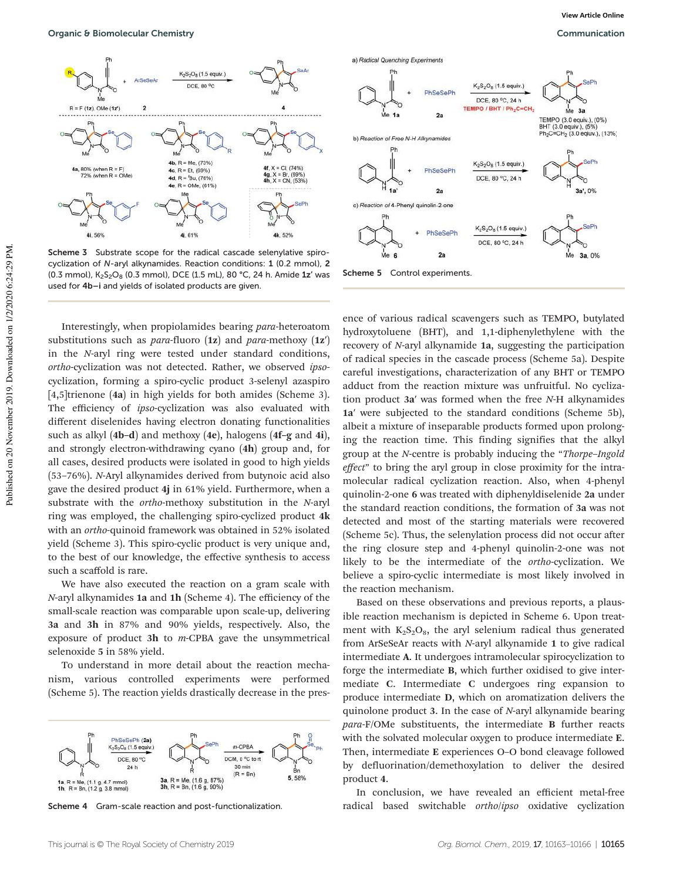

Scheme 3 Substrate scope for the radical cascade selenylative spirocyclization of N-aryl alkynamides. Reaction conditions: 1 (0.2 mmol), 2 (0.3 mmol),  $K_2S_2O_8$  (0.3 mmol), DCE (1.5 mL), 80 °C, 24 h. Amide 1z' was used for 4b–i and yields of isolated products are given.

Interestingly, when propiolamides bearing *para*-heteroatom substitutions such as *para*-fluoro (1z) and *para*-methoxy (1z′) in the *N*-aryl ring were tested under standard conditions, *ortho*-cyclization was not detected. Rather, we observed *ipso*cyclization, forming a spiro-cyclic product 3-selenyl azaspiro [4,5]trienone (4a) in high yields for both amides (Scheme 3). The efficiency of *ipso*-cyclization was also evaluated with different diselenides having electron donating functionalities such as alkyl (4b–d) and methoxy (4e), halogens (4f–g and 4i), and strongly electron-withdrawing cyano (4h) group and, for all cases, desired products were isolated in good to high yields (53–76%). *N*-Aryl alkynamides derived from butynoic acid also gave the desired product 4j in 61% yield. Furthermore, when a substrate with the *ortho*-methoxy substitution in the *N*-aryl ring was employed, the challenging spiro-cyclized product 4k with an *ortho*-quinoid framework was obtained in 52% isolated yield (Scheme 3). This spiro-cyclic product is very unique and, to the best of our knowledge, the effective synthesis to access such a scaffold is rare.

We have also executed the reaction on a gram scale with *N*-aryl alkynamides 1a and 1h (Scheme 4). The efficiency of the small-scale reaction was comparable upon scale-up, delivering 3a and 3h in 87% and 90% yields, respectively. Also, the exposure of product 3h to *m*-CPBA gave the unsymmetrical selenoxide 5 in 58% yield.

To understand in more detail about the reaction mechanism, various controlled experiments were performed (Scheme 5). The reaction yields drastically decrease in the pres-



Scheme 4 Gram-scale reaction and post-functionalization.



Scheme 5 Control experiments.

ence of various radical scavengers such as TEMPO, butylated hydroxytoluene (BHT), and 1,1-diphenylethylene with the recovery of *N*-aryl alkynamide 1a, suggesting the participation of radical species in the cascade process (Scheme 5a). Despite careful investigations, characterization of any BHT or TEMPO adduct from the reaction mixture was unfruitful. No cyclization product 3a′ was formed when the free *N*-H alkynamides 1a′ were subjected to the standard conditions (Scheme 5b), albeit a mixture of inseparable products formed upon prolonging the reaction time. This finding signifies that the alkyl group at the *N*-centre is probably inducing the "*Thorpe*–*Ingold e*ff*ect*" to bring the aryl group in close proximity for the intramolecular radical cyclization reaction. Also, when 4-phenyl quinolin-2-one 6 was treated with diphenyldiselenide 2a under the standard reaction conditions, the formation of 3a was not detected and most of the starting materials were recovered (Scheme 5c). Thus, the selenylation process did not occur after the ring closure step and 4-phenyl quinolin-2-one was not likely to be the intermediate of the *ortho*-cyclization. We believe a spiro-cyclic intermediate is most likely involved in the reaction mechanism.

Based on these observations and previous reports, a plausible reaction mechanism is depicted in Scheme 6. Upon treatment with  $K_2S_2O_8$ , the aryl selenium radical thus generated from ArSeSeAr reacts with *N*-aryl alkynamide 1 to give radical intermediate A. It undergoes intramolecular spirocyclization to forge the intermediate B, which further oxidised to give intermediate C. Intermediate C undergoes ring expansion to produce intermediate D, which on aromatization delivers the quinolone product 3. In the case of *N*-aryl alkynamide bearing *para*-F/OMe substituents, the intermediate B further reacts with the solvated molecular oxygen to produce intermediate E. Then, intermediate E experiences O–O bond cleavage followed by defluorination/demethoxylation to deliver the desired product 4.

In conclusion, we have revealed an efficient metal-free radical based switchable *ortho*/*ipso* oxidative cyclization